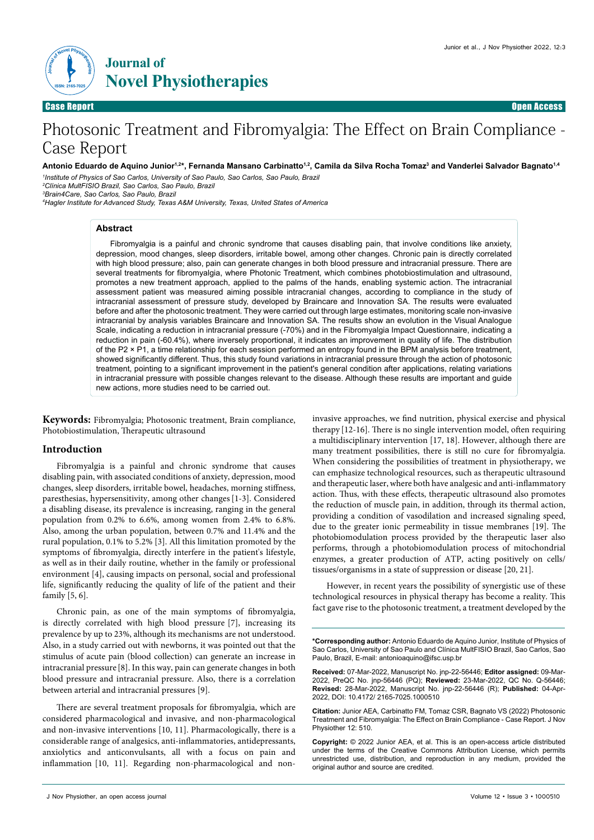

Case Report Open Access

# Photosonic Treatment and Fibromyalgia: The Effect on Brain Compliance - Case Report

#### Antonio Eduardo de Aquino Junior<sup>1,2\*</sup>, Fernanda Mansano Carbinatto<sup>1,2</sup>, Camila da Silva Rocha Tomaz<sup>3</sup> and Vanderlei Salvador Bagnato<sup>1,4</sup>

*1 Institute of Physics of Sao Carlos, University of Sao Paulo, Sao Carlos, Sao Paulo, Brazil 2 Clínica MultFISIO Brazil, Sao Carlos, Sao Paulo, Brazil 3 Brain4Care, Sao Carlos, Sao Paulo, Brazil*

*4 Hagler Institute for Advanced Study, Texas A&M University, Texas, United States of America* 

#### **Abstract**

Fibromyalgia is a painful and chronic syndrome that causes disabling pain, that involve conditions like anxiety, depression, mood changes, sleep disorders, irritable bowel, among other changes. Chronic pain is directly correlated with high blood pressure; also, pain can generate changes in both blood pressure and intracranial pressure. There are several treatments for fibromyalgia, where Photonic Treatment, which combines photobiostimulation and ultrasound, promotes a new treatment approach, applied to the palms of the hands, enabling systemic action. The intracranial assessment patient was measured aiming possible intracranial changes, according to compliance in the study of intracranial assessment of pressure study, developed by Braincare and Innovation SA. The results were evaluated before and after the photosonic treatment. They were carried out through large estimates, monitoring scale non-invasive intracranial by analysis variables Braincare and Innovation SA. The results show an evolution in the Visual Analogue Scale, indicating a reduction in intracranial pressure (-70%) and in the Fibromyalgia Impact Questionnaire, indicating a reduction in pain (-60.4%), where inversely proportional, it indicates an improvement in quality of life. The distribution of the P2 × P1, a time relationship for each session performed an entropy found in the BPM analysis before treatment, showed significantly different. Thus, this study found variations in intracranial pressure through the action of photosonic treatment, pointing to a significant improvement in the patient's general condition after applications, relating variations in intracranial pressure with possible changes relevant to the disease. Although these results are important and guide new actions, more studies need to be carried out.

**Keywords:** Fibromyalgia; Photosonic treatment, Brain compliance, Photobiostimulation, Therapeutic ultrasound

#### **Introduction**

Fibromyalgia is a painful and chronic syndrome that causes disabling pain, with associated conditions of anxiety, depression, mood changes, sleep disorders, irritable bowel, headaches, morning stiffness, paresthesias, hypersensitivity, among other changes[1-3]. Considered a disabling disease, its prevalence is increasing, ranging in the general population from 0.2% to 6.6%, among women from 2.4% to 6.8%. Also, among the urban population, between 0.7% and 11.4% and the rural population, 0.1% to 5.2% [3]. All this limitation promoted by the symptoms of fibromyalgia, directly interfere in the patient's lifestyle, as well as in their daily routine, whether in the family or professional environment [4], causing impacts on personal, social and professional life, significantly reducing the quality of life of the patient and their family [5, 6].

Chronic pain, as one of the main symptoms of fibromyalgia, is directly correlated with high blood pressure [7], increasing its prevalence by up to 23%, although its mechanisms are not understood. Also, in a study carried out with newborns, it was pointed out that the stimulus of acute pain (blood collection) can generate an increase in intracranial pressure [8]. In this way, pain can generate changes in both blood pressure and intracranial pressure. Also, there is a correlation between arterial and intracranial pressures [9].

There are several treatment proposals for fibromyalgia, which are considered pharmacological and invasive, and non-pharmacological and non-invasive interventions [10, 11]. Pharmacologically, there is a considerable range of analgesics, anti-inflammatories, antidepressants, anxiolytics and anticonvulsants, all with a focus on pain and inflammation [10, 11]. Regarding non-pharmacological and noninvasive approaches, we find nutrition, physical exercise and physical therapy [12-16]. There is no single intervention model, often requiring a multidisciplinary intervention [17, 18]. However, although there are many treatment possibilities, there is still no cure for fibromyalgia. When considering the possibilities of treatment in physiotherapy, we can emphasize technological resources, such as therapeutic ultrasound and therapeutic laser, where both have analgesic and anti-inflammatory action. Thus, with these effects, therapeutic ultrasound also promotes the reduction of muscle pain, in addition, through its thermal action, providing a condition of vasodilation and increased signaling speed, due to the greater ionic permeability in tissue membranes [19]. The photobiomodulation process provided by the therapeutic laser also performs, through a photobiomodulation process of mitochondrial enzymes, a greater production of ATP, acting positively on cells/ tissues/organisms in a state of suppression or disease [20, 21].

However, in recent years the possibility of synergistic use of these technological resources in physical therapy has become a reality. This fact gave rise to the photosonic treatment, a treatment developed by the

**\*Corresponding author:** Antonio Eduardo de Aquino Junior, Institute of Physics of Sao Carlos, University of Sao Paulo and Clínica MultFISIO Brazil, Sao Carlos, Sao Paulo, Brazil, E-mail: antonioaquino@ifsc.usp.br

**Received:** 07-Mar-2022, Manuscript No. jnp-22-56446; **Editor assigned:** 09-Mar-2022, PreQC No. jnp-56446 (PQ); **Reviewed:** 23-Mar-2022, QC No. Q-56446; **Revised:** 28-Mar-2022, Manuscript No. jnp-22-56446 (R); **Published:** 04-Apr-2022, DOI: 10.4172/ 2165-7025.1000510

**Citation:** Junior AEA, Carbinatto FM, Tomaz CSR, Bagnato VS (2022) Photosonic Treatment and Fibromyalgia: The Effect on Brain Compliance - Case Report. J Nov Physiother 12: 510.

**Copyright:** © 2022 Junior AEA, et al. This is an open-access article distributed under the terms of the Creative Commons Attribution License, which permits unrestricted use, distribution, and reproduction in any medium, provided the original author and source are credited.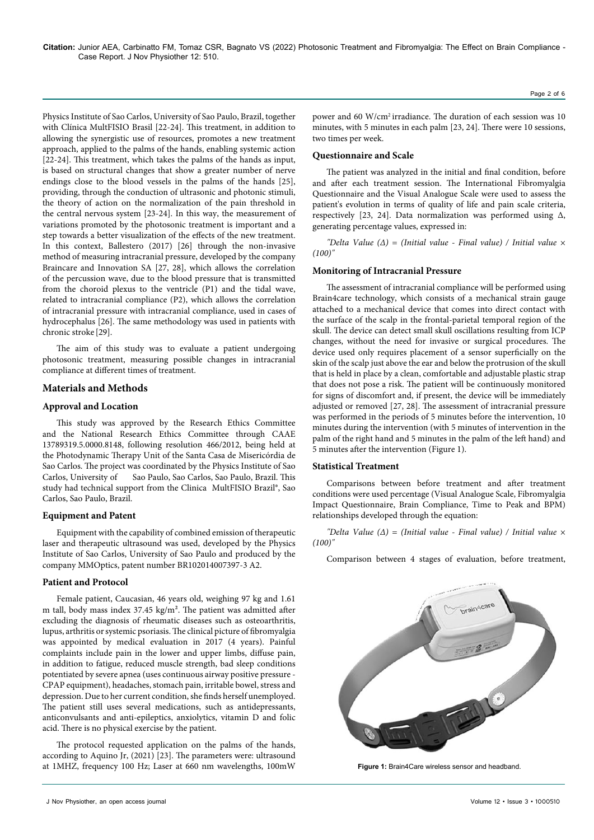Physics Institute of Sao Carlos, University of Sao Paulo, Brazil, together with Clínica MultFISIO Brasil [22-24]. This treatment, in addition to allowing the synergistic use of resources, promotes a new treatment approach, applied to the palms of the hands, enabling systemic action [22-24]. This treatment, which takes the palms of the hands as input, is based on structural changes that show a greater number of nerve endings close to the blood vessels in the palms of the hands [25], providing, through the conduction of ultrasonic and photonic stimuli, the theory of action on the normalization of the pain threshold in the central nervous system [23-24]. In this way, the measurement of variations promoted by the photosonic treatment is important and a step towards a better visualization of the effects of the new treatment. In this context, Ballestero (2017) [26] through the non-invasive method of measuring intracranial pressure, developed by the company Braincare and Innovation SA [27, 28], which allows the correlation of the percussion wave, due to the blood pressure that is transmitted from the choroid plexus to the ventricle (P1) and the tidal wave, related to intracranial compliance (P2), which allows the correlation of intracranial pressure with intracranial compliance, used in cases of hydrocephalus [26]. The same methodology was used in patients with chronic stroke [29].

The aim of this study was to evaluate a patient undergoing photosonic treatment, measuring possible changes in intracranial compliance at different times of treatment.

## **Materials and Methods**

# **Approval and Location**

This study was approved by the Research Ethics Committee and the National Research Ethics Committee through CAAE 13789319.5.0000.8148, following resolution 466/2012, being held at the Photodynamic Therapy Unit of the Santa Casa de Misericórdia de Sao Carlos. The project was coordinated by the Physics Institute of Sao Carlos, University of Sao Paulo, Sao Carlos, Sao Paulo, Brazil. This study had technical support from the Clinica MultFISIO Brazil®, Sao Carlos, Sao Paulo, Brazil.

## **Equipment and Patent**

Equipment with the capability of combined emission of therapeutic laser and therapeutic ultrasound was used, developed by the Physics Institute of Sao Carlos, University of Sao Paulo and produced by the company MMOptics, patent number BR102014007397-3 A2.

## **Patient and Protocol**

Female patient, Caucasian, 46 years old, weighing 97 kg and 1.61 m tall, body mass index 37.45 kg/m². The patient was admitted after excluding the diagnosis of rheumatic diseases such as osteoarthritis, lupus, arthritis or systemic psoriasis. The clinical picture of fibromyalgia was appointed by medical evaluation in 2017 (4 years). Painful complaints include pain in the lower and upper limbs, diffuse pain, in addition to fatigue, reduced muscle strength, bad sleep conditions potentiated by severe apnea (uses continuous airway positive pressure - CPAP equipment), headaches, stomach pain, irritable bowel, stress and depression. Due to her current condition, she finds herself unemployed. The patient still uses several medications, such as antidepressants, anticonvulsants and anti-epileptics, anxiolytics, vitamin D and folic acid. There is no physical exercise by the patient.

The protocol requested application on the palms of the hands, according to Aquino Jr, (2021) [23]. The parameters were: ultrasound at 1MHZ, frequency 100 Hz; Laser at 660 nm wavelengths, 100mW

Page 2 of 6

power and 60 W/cm2 irradiance. The duration of each session was 10 minutes, with 5 minutes in each palm [23, 24]. There were 10 sessions, two times per week.

## **Questionnaire and Scale**

The patient was analyzed in the initial and final condition, before and after each treatment session. The International Fibromyalgia Questionnaire and the Visual Analogue Scale were used to assess the patient's evolution in terms of quality of life and pain scale criteria, respectively [23, 24]. Data normalization was performed using  $\Delta$ , generating percentage values, expressed in:

*"Delta Value (Δ) = (Initial value - Final value) / Initial value × (100)"*

## **Monitoring of Intracranial Pressure**

The assessment of intracranial compliance will be performed using Brain4care technology, which consists of a mechanical strain gauge attached to a mechanical device that comes into direct contact with the surface of the scalp in the frontal-parietal temporal region of the skull. The device can detect small skull oscillations resulting from ICP changes, without the need for invasive or surgical procedures. The device used only requires placement of a sensor superficially on the skin of the scalp just above the ear and below the protrusion of the skull that is held in place by a clean, comfortable and adjustable plastic strap that does not pose a risk. The patient will be continuously monitored for signs of discomfort and, if present, the device will be immediately adjusted or removed [27, 28]. The assessment of intracranial pressure was performed in the periods of 5 minutes before the intervention, 10 minutes during the intervention (with 5 minutes of intervention in the palm of the right hand and 5 minutes in the palm of the left hand) and 5 minutes after the intervention (Figure 1).

## **Statistical Treatment**

Comparisons between before treatment and after treatment conditions were used percentage (Visual Analogue Scale, Fibromyalgia Impact Questionnaire, Brain Compliance, Time to Peak and BPM) relationships developed through the equation:

*"Delta Value (Δ) = (Initial value - Final value) / Initial value × (100)"*

Comparison between 4 stages of evaluation, before treatment,



**Figure 1:** Brain4Care wireless sensor and headband.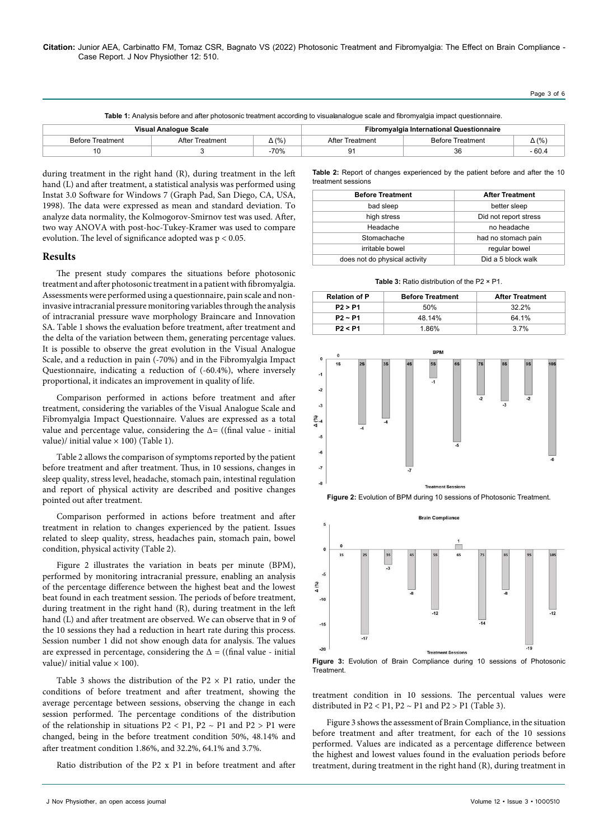Page 3 of 6

Table 1: Analysis before and after photosonic treatment according to visualanalogue scale and fibromyalgia impact questionnaire.

| Visual Analogue Scale   |                 |              | <b>Fibromyalgia International Questionnaire</b> |                         |              |
|-------------------------|-----------------|--------------|-------------------------------------------------|-------------------------|--------------|
| <b>Before Treatment</b> | After Treatment | $\Delta$ (%) | After Treatment                                 | <b>Before Treatment</b> | $\Delta$ (%) |
|                         |                 | $-70%$       | ״ם<br>ັ                                         |                         | - 60.4       |

during treatment in the right hand (R), during treatment in the left hand (L) and after treatment, a statistical analysis was performed using Instat 3.0 Software for Windows 7 (Graph Pad, San Diego, CA, USA, 1998). The data were expressed as mean and standard deviation. To analyze data normality, the Kolmogorov-Smirnov test was used. After, two way ANOVA with post-hoc-Tukey-Kramer was used to compare evolution. The level of significance adopted was p < 0.05.

## **Results**

The present study compares the situations before photosonic treatment and after photosonic treatment in a patient with fibromyalgia. Assessments were performed using a questionnaire, pain scale and noninvasive intracranial pressure monitoring variables through the analysis of intracranial pressure wave morphology Braincare and Innovation SA. Table 1 shows the evaluation before treatment, after treatment and the delta of the variation between them, generating percentage values. It is possible to observe the great evolution in the Visual Analogue Scale, and a reduction in pain (-70%) and in the Fibromyalgia Impact Questionnaire, indicating a reduction of (-60.4%), where inversely proportional, it indicates an improvement in quality of life.

Comparison performed in actions before treatment and after treatment, considering the variables of the Visual Analogue Scale and Fibromyalgia Impact Questionnaire. Values are expressed as a total value and percentage value, considering the  $\Delta$ = ((final value - initial value)/ initial value  $\times$  100) (Table 1).

Table 2 allows the comparison of symptoms reported by the patient before treatment and after treatment. Thus, in 10 sessions, changes in sleep quality, stress level, headache, stomach pain, intestinal regulation and report of physical activity are described and positive changes pointed out after treatment.

Comparison performed in actions before treatment and after treatment in relation to changes experienced by the patient. Issues related to sleep quality, stress, headaches pain, stomach pain, bowel condition, physical activity (Table 2).

Figure 2 illustrates the variation in beats per minute (BPM), performed by monitoring intracranial pressure, enabling an analysis of the percentage difference between the highest beat and the lowest beat found in each treatment session. The periods of before treatment, during treatment in the right hand (R), during treatment in the left hand (L) and after treatment are observed. We can observe that in 9 of the 10 sessions they had a reduction in heart rate during this process. Session number 1 did not show enough data for analysis. The values are expressed in percentage, considering the  $\Delta =$  ((final value - initial value)/ initial value  $\times$  100).

Table 3 shows the distribution of the P2  $\times$  P1 ratio, under the conditions of before treatment and after treatment, showing the average percentage between sessions, observing the change in each session performed. The percentage conditions of the distribution of the relationship in situations  $P2 < P1$ ,  $P2 \sim P1$  and  $P2 > P1$  were changed, being in the before treatment condition 50%, 48.14% and after treatment condition 1.86%, and 32.2%, 64.1% and 3.7%.

Ratio distribution of the P2 x P1 in before treatment and after

**Table 2:** Report of changes experienced by the patient before and after the 10 treatment sessions

| <b>Before Treatment</b>       | <b>After Treatment</b> |  |
|-------------------------------|------------------------|--|
| bad sleep                     | better sleep           |  |
| high stress                   | Did not report stress  |  |
| Headache                      | no headache            |  |
| Stomachache                   | had no stomach pain    |  |
| irritable bowel               | regular bowel          |  |
| does not do physical activity | Did a 5 block walk     |  |



| <b>Relation of P</b> | <b>Before Treatment</b> | <b>After Treatment</b> |
|----------------------|-------------------------|------------------------|
| P2 > P1              | 50%                     | $32.2\%$               |
| $P2 \sim P1$         | 48 14%                  | 64 1%                  |
| P2 < P1              | 1.86%                   | 37%                    |



**Figure 2:** Evolution of BPM during 10 sessions of Photosonic Treatment.



**Figure 3:** Evolution of Brain Compliance during 10 sessions of Photosonic **Treatment** 

treatment condition in 10 sessions. The percentual values were distributed in  $P2 < P1$ ,  $P2 \sim P1$  and  $P2 > P1$  (Table 3).

Figure 3 shows the assessment of Brain Compliance, in the situation before treatment and after treatment, for each of the 10 sessions performed. Values are indicated as a percentage difference between the highest and lowest values found in the evaluation periods before treatment, during treatment in the right hand (R), during treatment in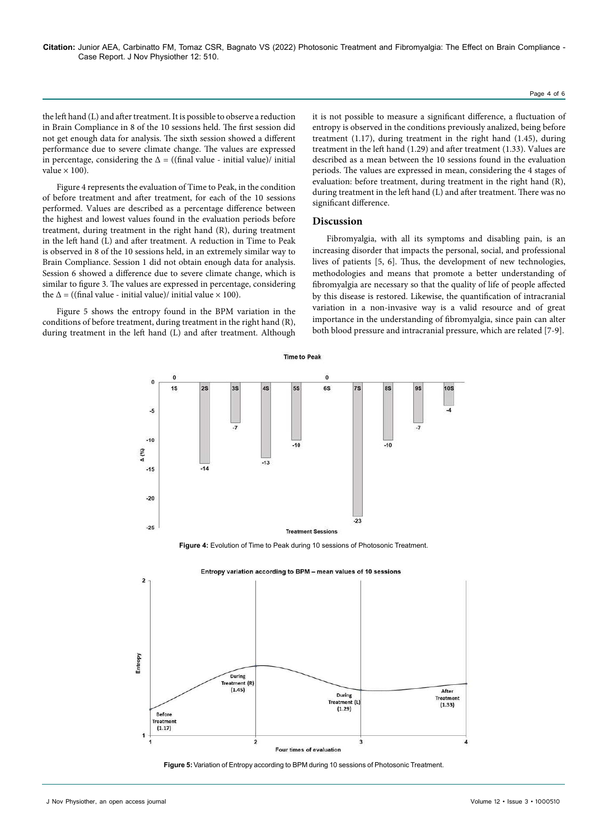the left hand (L) and after treatment. It is possible to observe a reduction in Brain Compliance in 8 of the 10 sessions held. The first session did not get enough data for analysis. The sixth session showed a different performance due to severe climate change. The values are expressed in percentage, considering the  $\Delta$  = ((final value - initial value)/ initial value  $\times$  100).

Figure 4 represents the evaluation of Time to Peak, in the condition of before treatment and after treatment, for each of the 10 sessions performed. Values are described as a percentage difference between the highest and lowest values found in the evaluation periods before treatment, during treatment in the right hand (R), during treatment in the left hand (L) and after treatment. A reduction in Time to Peak is observed in 8 of the 10 sessions held, in an extremely similar way to Brain Compliance. Session 1 did not obtain enough data for analysis. Session 6 showed a difference due to severe climate change, which is similar to figure 3. The values are expressed in percentage, considering the  $\Delta$  = ((final value - initial value)/ initial value  $\times$  100).

Figure 5 shows the entropy found in the BPM variation in the conditions of before treatment, during treatment in the right hand (R), during treatment in the left hand (L) and after treatment. Although

it is not possible to measure a significant difference, a fluctuation of entropy is observed in the conditions previously analized, being before treatment (1.17), during treatment in the right hand (1.45), during treatment in the left hand (1.29) and after treatment (1.33). Values are described as a mean between the 10 sessions found in the evaluation periods. The values are expressed in mean, considering the 4 stages of evaluation: before treatment, during treatment in the right hand (R), during treatment in the left hand (L) and after treatment. There was no significant difference.

#### **Discussion**

Fibromyalgia, with all its symptoms and disabling pain, is an increasing disorder that impacts the personal, social, and professional lives of patients [5, 6]. Thus, the development of new technologies, methodologies and means that promote a better understanding of fibromyalgia are necessary so that the quality of life of people affected by this disease is restored. Likewise, the quantification of intracranial variation in a non-invasive way is a valid resource and of great importance in the understanding of fibromyalgia, since pain can alter both blood pressure and intracranial pressure, which are related [7-9].



**Time to Peak** 

**Figure 4:** Evolution of Time to Peak during 10 sessions of Photosonic Treatment.



Entropy variation according to BPM - mean values of 10 sessions

**Figure 5:** Variation of Entropy according to BPM during 10 sessions of Photosonic Treatment.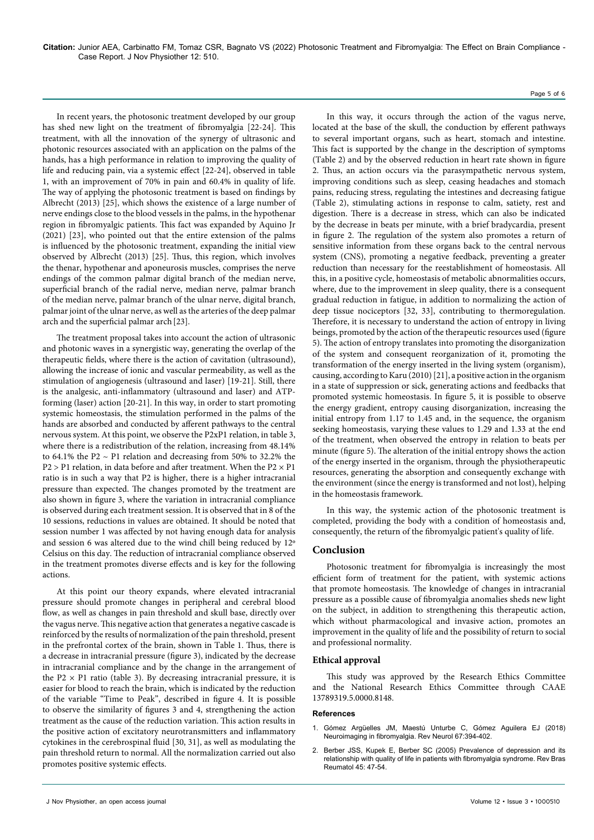In recent years, the photosonic treatment developed by our group has shed new light on the treatment of fibromyalgia [22-24]. This treatment, with all the innovation of the synergy of ultrasonic and photonic resources associated with an application on the palms of the hands, has a high performance in relation to improving the quality of life and reducing pain, via a systemic effect [22-24], observed in table 1, with an improvement of 70% in pain and 60.4% in quality of life. The way of applying the photosonic treatment is based on findings by Albrecht (2013) [25], which shows the existence of a large number of nerve endings close to the blood vessels in the palms, in the hypothenar region in fibromyalgic patients. This fact was expanded by Aquino Jr (2021) [23], who pointed out that the entire extension of the palms is influenced by the photosonic treatment, expanding the initial view observed by Albrecht (2013) [25]. Thus, this region, which involves the thenar, hypothenar and aponeurosis muscles, comprises the nerve endings of the common palmar digital branch of the median nerve, superficial branch of the radial nerve, median nerve, palmar branch of the median nerve, palmar branch of the ulnar nerve, digital branch, palmar joint of the ulnar nerve, as well as the arteries of the deep palmar arch and the superficial palmar arch[23].

The treatment proposal takes into account the action of ultrasonic and photonic waves in a synergistic way, generating the overlap of the therapeutic fields, where there is the action of cavitation (ultrasound), allowing the increase of ionic and vascular permeability, as well as the stimulation of angiogenesis (ultrasound and laser) [19-21]. Still, there is the analgesic, anti-inflammatory (ultrasound and laser) and ATPforming (laser) action [20-21]. In this way, in order to start promoting systemic homeostasis, the stimulation performed in the palms of the hands are absorbed and conducted by afferent pathways to the central nervous system. At this point, we observe the P2xP1 relation, in table 3, where there is a redistribution of the relation, increasing from 48.14% to 64.1% the P2 ~ P1 relation and decreasing from 50% to 32.2% the  $P2 > P1$  relation, in data before and after treatment. When the  $P2 \times P1$ ratio is in such a way that P2 is higher, there is a higher intracranial pressure than expected. The changes promoted by the treatment are also shown in figure 3, where the variation in intracranial compliance is observed during each treatment session. It is observed that in 8 of the 10 sessions, reductions in values are obtained. It should be noted that session number 1 was affected by not having enough data for analysis and session 6 was altered due to the wind chill being reduced by 12º Celsius on this day. The reduction of intracranial compliance observed in the treatment promotes diverse effects and is key for the following actions.

At this point our theory expands, where elevated intracranial pressure should promote changes in peripheral and cerebral blood flow, as well as changes in pain threshold and skull base, directly over the vagus nerve. This negative action that generates a negative cascade is reinforced by the results of normalization of the pain threshold, present in the prefrontal cortex of the brain, shown in Table 1. Thus, there is a decrease in intracranial pressure (figure 3), indicated by the decrease in intracranial compliance and by the change in the arrangement of the P2  $\times$  P1 ratio (table 3). By decreasing intracranial pressure, it is easier for blood to reach the brain, which is indicated by the reduction of the variable "Time to Peak", described in figure 4. It is possible to observe the similarity of figures 3 and 4, strengthening the action treatment as the cause of the reduction variation. This action results in the positive action of excitatory neurotransmitters and inflammatory cytokines in the cerebrospinal fluid [30, 31], as well as modulating the pain threshold return to normal. All the normalization carried out also promotes positive systemic effects.

In this way, it occurs through the action of the vagus nerve, located at the base of the skull, the conduction by efferent pathways to several important organs, such as heart, stomach and intestine. This fact is supported by the change in the description of symptoms (Table 2) and by the observed reduction in heart rate shown in figure 2. Thus, an action occurs via the parasympathetic nervous system, improving conditions such as sleep, ceasing headaches and stomach pains, reducing stress, regulating the intestines and decreasing fatigue (Table 2), stimulating actions in response to calm, satiety, rest and digestion. There is a decrease in stress, which can also be indicated by the decrease in beats per minute, with a brief bradycardia, present in figure 2. The regulation of the system also promotes a return of sensitive information from these organs back to the central nervous system (CNS), promoting a negative feedback, preventing a greater reduction than necessary for the reestablishment of homeostasis. All this, in a positive cycle, homeostasis of metabolic abnormalities occurs, where, due to the improvement in sleep quality, there is a consequent gradual reduction in fatigue, in addition to normalizing the action of deep tissue nociceptors [32, 33], contributing to thermoregulation. Therefore, it is necessary to understand the action of entropy in living beings, promoted by the action of the therapeutic resources used (figure 5). The action of entropy translates into promoting the disorganization of the system and consequent reorganization of it, promoting the transformation of the energy inserted in the living system (organism), causing, according to Karu (2010) [21], a positive action in the organism in a state of suppression or sick, generating actions and feedbacks that promoted systemic homeostasis. In figure 5, it is possible to observe the energy gradient, entropy causing disorganization, increasing the initial entropy from 1.17 to 1.45 and, in the sequence, the organism seeking homeostasis, varying these values to 1.29 and 1.33 at the end of the treatment, when observed the entropy in relation to beats per minute (figure 5). The alteration of the initial entropy shows the action of the energy inserted in the organism, through the physiotherapeutic resources, generating the absorption and consequently exchange with the environment (since the energy is transformed and not lost), helping in the homeostasis framework.

In this way, the systemic action of the photosonic treatment is completed, providing the body with a condition of homeostasis and, consequently, the return of the fibromyalgic patient's quality of life.

## **Conclusion**

Photosonic treatment for fibromyalgia is increasingly the most efficient form of treatment for the patient, with systemic actions that promote homeostasis. The knowledge of changes in intracranial pressure as a possible cause of fibromyalgia anomalies sheds new light on the subject, in addition to strengthening this therapeutic action, which without pharmacological and invasive action, promotes an improvement in the quality of life and the possibility of return to social and professional normality.

### **Ethical approval**

This study was approved by the Research Ethics Committee and the National Research Ethics Committee through CAAE 13789319.5.0000.8148.

#### **References**

- 1. Gómez Argüelles JM, Maestú Unturbe C, Gómez Aguilera EJ (2018) [Neuroimaging in fibromyalgia.](https://sncpharma.com/wp-content/uploads/2018/11/Neuroimagen-en-fibromialgia-1.pdf) Rev Neurol 67:394-402.
- 2. Berber JSS, Kupek E, Berber SC (2005) [Prevalence of depression and its](https://www.scielo.br/j/rbr/a/F68Rmk4LtxPB6vDrR7Cg6fb/?format=pdf&lang=pt)  [relationship with quality of life in patients with fibromyalgia syndrome.](https://www.scielo.br/j/rbr/a/F68Rmk4LtxPB6vDrR7Cg6fb/?format=pdf&lang=pt) Rev Bras Reumatol 45: 47-54.

Page 5 of 6